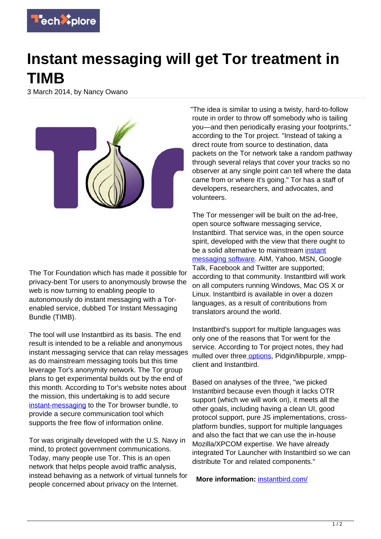

## **Instant messaging will get Tor treatment in TIMB**

3 March 2014, by Nancy Owano



The Tor Foundation which has made it possible for privacy-bent Tor users to anonymously browse the web is now turning to enabling people to autonomously do instant messaging with a Torenabled service, dubbed Tor Instant Messaging Bundle (TIMB).

The tool will use Instantbird as its basis. The end result is intended to be a reliable and anonymous instant messaging service that can relay messages as do mainstream messaging tools but this time leverage Tor's anonymity network. The Tor group plans to get experimental builds out by the end of this month. According to Tor's website notes about the mission, this undertaking is to add secure [instant-messaging](https://techxplore.com/tags/instant+messaging/) to the Tor browser bundle, to provide a secure communication tool which supports the free flow of information online.

Tor was originally developed with the U.S. Navy in mind, to protect government communications. Today, many people use Tor. This is an open network that helps people avoid traffic analysis, instead behaving as a network of virtual tunnels for people concerned about privacy on the Internet.

"The idea is similar to using a twisty, hard-to-follow route in order to throw off somebody who is tailing you—and then periodically erasing your footprints," according to the Tor project. "Instead of taking a direct route from source to destination, data packets on the Tor network take a random pathway through several relays that cover your tracks so no observer at any single point can tell where the data came from or where it's going." Tor has a staff of developers, researchers, and advocates, and volunteers.

The Tor messenger will be built on the ad-free, open source software messaging service, Instantbird. That service was, in the open source spirit, developed with the view that there ought to be a solid alternative to mainstream [instant](https://techxplore.com/tags/instant+messaging+software/) [messaging software](https://techxplore.com/tags/instant+messaging+software/). AIM, Yahoo, MSN, Google Talk, Facebook and Twitter are supported; according to that community. Instantbird will work on all computers running Windows, Mac OS X or Linux. Instantbird is available in over a dozen languages, as a result of contributions from translators around the world.

Instantbird's support for multiple languages was only one of the reasons that Tor went for the service. According to Tor project notes, they had mulled over three options, Pidgin/libpurple, xmppclient and Instantbird.

Based on analyses of the three, "we picked Instantbird because even though it lacks OTR support (which we will work on), it meets all the other goals, including having a clean UI, good protocol support, pure JS implementations, crossplatform bundles, support for multiple languages and also the fact that we can use the in-house Mozilla/XPCOM expertise. We have already integrated Tor Launcher with Instantbird so we can distribute Tor and related components."

**More information:** [instantbird.com/](http://instantbird.com/)